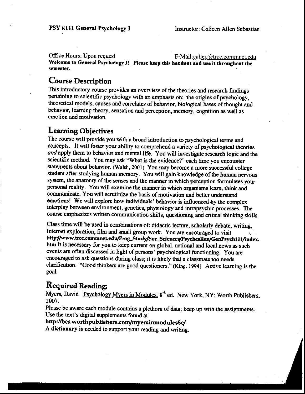Office Hours: Upon request

**E-Mail:**callen@trcc.commnet.edu Welcome to General Psychology I! Please keep this handout and use it throughout the semester.

### **Course Description**

This introductory course provides an overview of the theories and research findings pertaining to scientific psychology with an emphasis on: the origins of psychology, theoretical models, causes and correlates of behavior, biological bases of thought and behavior, learning theory, sensation and perception, memory, cognition as well as emotion and motivation.

### **Learning Objectives**

The course will provide you with a broad introduction to psychological terms and concepts. It will foster your ability to comprehend a variety of psychological theories and apply them to behavior and mental life. You will investigate research logic and the scientific method. You may ask "What is the evidence?" each time you encounter statements about behavior. (Walsh, 2001) You may become a more successful college student after studying human memory. You will gain knowledge of the human nervous system, the anatomy of the senses and the manner in which perception formulates your personal reality. You will examine the manner in which organisms learn, think and communicate. You will scrutinize the basis of motivation and better understand emotions! We will explore how individuals' behavior is influenced by the complex interplay between environment, genetics, physiology and intrapsychic processes. The course emphasizes written communication skills, questioning and critical thinking skills.

Class time will be used in combinations of: didactic lecture, scholarly debate, writing, Internet exploration, film and small group work. You are encouraged to visit http://www.trcc.commnet.edu/Prog\_Study/Soc\_Sciences/Psychcallen/GenPsych111/index. htm It is necessary for you to keep current on global, national and local news as such events are often discussed in light of persons' psychological functioning. You are encouraged to ask questions during class; it is likely that a classmate too needs clarification. "Good thinkers are good questioners." (King. 1994) Active learning is the goal.

### **Required Reading:**

Myers, David Psychology Myers in Modules. 8<sup>th</sup> ed. New York, NY: Worth Publishers, 2007.

Please be aware each module contains a plethora of data; keep up with the assignments. Use the text's digital supplements found at

#### http://bcs.worthpublishers.com/myersinmodules8e/

A dictionary is needed to support your reading and writing.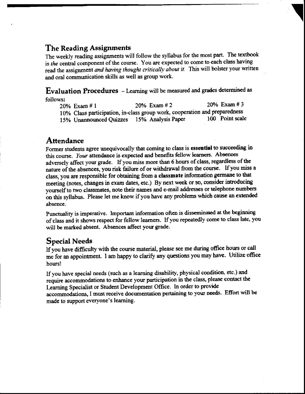### The Reading Assignmente

The weekly reading assignments will follow the syllabus for the most part. The textbook is the central component of the course. You are expected to come to each class having read the assignment and having thought critically about it. This will bolster your written and oral communication skills as well as group work.

Evaluation Procedures - Learning will be measured and grades determined as follows:

| 20% Exam # 1                                                               | 20% Exam # 2 | $20\%$ Exam # 3 |
|----------------------------------------------------------------------------|--------------|-----------------|
| 10% Class participation, in-class group work, cooperation and preparedness |              |                 |
| 15% Unannounced Quizzes 15% Analysis Paper                                 |              | 100 Point scale |

#### **Attendance**

Former students agree unequivocally that coming to class is essential to succeeding in this course. Your attendance is expected and benefits fellow learners. Absences adversely affect your grade. If you miss more than 6 hours of class, regardless of the nature of the absences, you risk failure of or withdrawal from the course. If you miss a class, you are responsible for obtaining from a classmate information germane to that meeting (notes, changes in exam dates, etc.) By next week or so, consider introducing yourself to two classmates, note their names and e-mail addresses or telephone numbers on this syllabus. Please let me know if you have any problems which cause an extended absence.

Punctuality is imperative. Important information often is disseminated at the beginning of class and ir shows respect for fellow leamers. lf you repeatedly oome to class late, you will be marked absent. Absences affect yow grade.

### Special Needs

If you have difficulty with the course material, please see me during office hours or call me for an appointment. I am happy to clarify any questions you may have. Utilize office hours!

If you have special needs (such as a learning disability, physical condition, etc.) and require accommodations to enhance your participation in the class, please contact the Learning Specialist or Student Development Office. In order to provide Learning Specialist or Student Development Office. In order to provide<br>accommodations, I must receive documentation pertaining to your needs. Effort will be made to support everyone's learning.